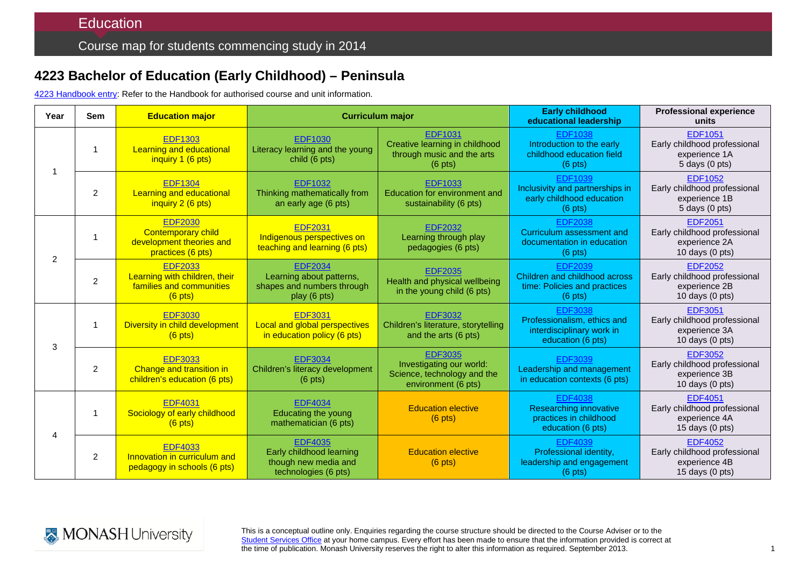## **4223 Bachelor of Education (Early Childhood) – Peninsula**

4223 [Handbook entry:](http://www.monash.edu.au/pubs/2014handbooks/courses/4223.html) Refer to the Handbook for authorised course and unit information.

| Year           | <b>Sem</b>     | <b>Education major</b>                                                                       | <b>Curriculum major</b>                                                                    |                                                                                                     | <b>Early childhood</b><br>educational leadership                                                | <b>Professional experience</b><br>units                                                      |
|----------------|----------------|----------------------------------------------------------------------------------------------|--------------------------------------------------------------------------------------------|-----------------------------------------------------------------------------------------------------|-------------------------------------------------------------------------------------------------|----------------------------------------------------------------------------------------------|
|                | 1              | <b>EDF1303</b><br><b>Learning and educational</b><br>inquiry 1 (6 pts)                       | <b>EDF1030</b><br>Literacy learning and the young<br>child (6 pts)                         | <b>EDF1031</b><br>Creative learning in childhood<br>through music and the arts<br>$(6 \text{ pts})$ | <b>EDF1038</b><br>Introduction to the early<br>childhood education field<br>$(6$ pts)           | <b>EDF1051</b><br>Early childhood professional<br>experience 1A<br>5 days (0 pts)            |
|                | $\overline{2}$ | <b>EDF1304</b><br>Learning and educational<br>inquiry 2 (6 pts)                              | <b>EDF1032</b><br>Thinking mathematically from<br>an early age (6 pts)                     | <b>EDF1033</b><br>Education for environment and<br>sustainability (6 pts)                           | <b>EDF1039</b><br>Inclusivity and partnerships in<br>early childhood education<br>$(6$ pts)     | <b>EDF1052</b><br>Early childhood professional<br>experience 1B<br>5 days (0 pts)            |
| $\overline{2}$ |                | <b>EDF2030</b><br><b>Contemporary child</b><br>development theories and<br>practices (6 pts) | <b>EDF2031</b><br>Indigenous perspectives on<br>teaching and learning (6 pts)              | <b>EDF2032</b><br>Learning through play<br>pedagogies (6 pts)                                       | <b>EDF2038</b><br>Curriculum assessment and<br>documentation in education<br>$(6$ pts)          | <b>EDF2051</b><br>Early childhood professional<br>experience 2A<br>10 days (0 pts)           |
|                | $\overline{2}$ | <b>EDF2033</b><br>Learning with children, their<br>families and communities<br>$(6$ pts)     | <b>EDF2034</b><br>Learning about patterns,<br>shapes and numbers through<br>play (6 pts)   | <b>EDF2035</b><br>Health and physical wellbeing<br>in the young child (6 pts)                       | <b>EDF2039</b><br>Children and childhood across<br>time: Policies and practices<br>$(6$ pts)    | <b>EDF2052</b><br>Early childhood professional<br>experience 2B<br>10 days $(0 \text{ pts})$ |
| 3              | 1              | <b>EDF3030</b><br>Diversity in child development<br>$(6$ pts)                                | <b>EDF3031</b><br><b>Local and global perspectives</b><br>in education policy (6 pts)      | <b>EDF3032</b><br>Children's literature, storytelling<br>and the arts (6 pts)                       | <b>EDF3038</b><br>Professionalism, ethics and<br>interdisciplinary work in<br>education (6 pts) | <b>EDF3051</b><br>Early childhood professional<br>experience 3A<br>10 days (0 pts)           |
|                | $\overline{2}$ | <b>EDF3033</b><br>Change and transition in<br>children's education (6 pts)                   | <b>EDF3034</b><br>Children's literacy development<br>$(6 \text{ pts})$                     | <b>EDF3035</b><br>Investigating our world:<br>Science, technology and the<br>environment (6 pts)    | EDF3039<br>Leadership and management<br>in education contexts (6 pts)                           | <b>EDF3052</b><br>Early childhood professional<br>experience 3B<br>10 days $(0 \text{ pts})$ |
| $\overline{4}$ | 1              | <b>EDF4031</b><br>Sociology of early childhood<br>$(6$ pts)                                  | <b>EDF4034</b><br>Educating the young<br>mathematician (6 pts)                             | <b>Education elective</b><br>$(6$ pts)                                                              | <b>EDF4038</b><br><b>Researching innovative</b><br>practices in childhood<br>education (6 pts)  | <b>EDF4051</b><br>Early childhood professional<br>experience 4A<br>15 days $(0 \text{ pts})$ |
|                | $\overline{2}$ | <b>EDF4033</b><br>Innovation in curriculum and<br>pedagogy in schools (6 pts)                | <b>EDF4035</b><br>Early childhood learning<br>though new media and<br>technologies (6 pts) | <b>Education elective</b><br>$(6$ pts)                                                              | <b>EDF4039</b><br>Professional identity,<br>leadership and engagement<br>$(6$ pts)              | <b>EDF4052</b><br>Early childhood professional<br>experience 4B<br>15 days (0 pts)           |



This is a conceptual outline only. Enquiries regarding the course structure should be directed to the Course Adviser or to the [Student Services Office](http://education.monash.edu.au/students/current/admin/student-services-offices.html) at your home campus. Every effort has been made to ensure that the information provided is correct at the time of publication. Monash University reserves the right to alter this information as required. September 2013.